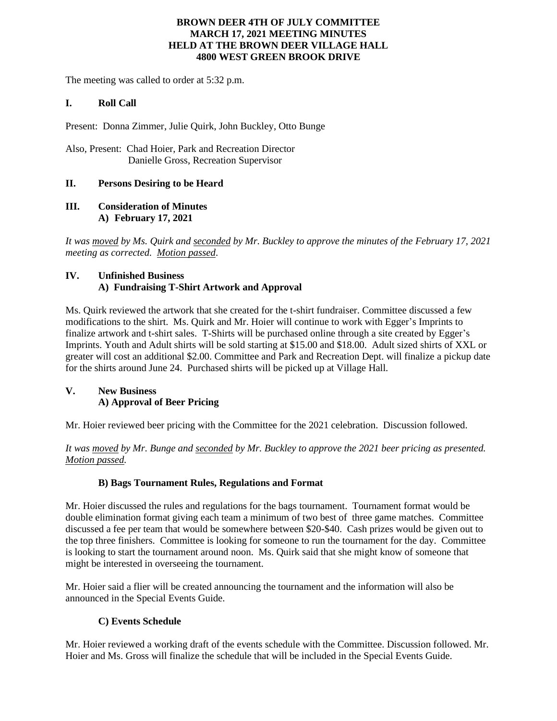## **BROWN DEER 4TH OF JULY COMMITTEE MARCH 17, 2021 MEETING MINUTES HELD AT THE BROWN DEER VILLAGE HALL 4800 WEST GREEN BROOK DRIVE**

The meeting was called to order at 5:32 p.m.

## **I. Roll Call**

Present: Donna Zimmer, Julie Quirk, John Buckley, Otto Bunge

Also, Present: Chad Hoier, Park and Recreation Director Danielle Gross, Recreation Supervisor

## **II. Persons Desiring to be Heard**

## **III. Consideration of Minutes A) February 17, 2021**

*It was moved by Ms. Quirk and seconded by Mr. Buckley to approve the minutes of the February 17, 2021 meeting as corrected. Motion passed*.

## **IV. Unfinished Business A) Fundraising T-Shirt Artwork and Approval**

Ms. Quirk reviewed the artwork that she created for the t-shirt fundraiser. Committee discussed a few modifications to the shirt. Ms. Quirk and Mr. Hoier will continue to work with Egger's Imprints to finalize artwork and t-shirt sales. T-Shirts will be purchased online through a site created by Egger's Imprints. Youth and Adult shirts will be sold starting at \$15.00 and \$18.00. Adult sized shirts of XXL or greater will cost an additional \$2.00. Committee and Park and Recreation Dept. will finalize a pickup date for the shirts around June 24. Purchased shirts will be picked up at Village Hall.

# **V. New Business A) Approval of Beer Pricing**

Mr. Hoier reviewed beer pricing with the Committee for the 2021 celebration. Discussion followed.

*It was moved by Mr. Bunge and seconded by Mr. Buckley to approve the 2021 beer pricing as presented. Motion passed.*

## **B) Bags Tournament Rules, Regulations and Format**

Mr. Hoier discussed the rules and regulations for the bags tournament. Tournament format would be double elimination format giving each team a minimum of two best of three game matches. Committee discussed a fee per team that would be somewhere between \$20-\$40. Cash prizes would be given out to the top three finishers. Committee is looking for someone to run the tournament for the day. Committee is looking to start the tournament around noon. Ms. Quirk said that she might know of someone that might be interested in overseeing the tournament.

Mr. Hoier said a flier will be created announcing the tournament and the information will also be announced in the Special Events Guide.

## **C) Events Schedule**

Mr. Hoier reviewed a working draft of the events schedule with the Committee. Discussion followed. Mr. Hoier and Ms. Gross will finalize the schedule that will be included in the Special Events Guide.